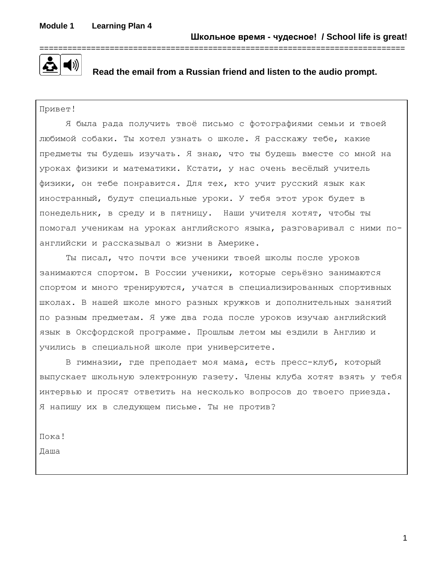

 **Read the email from a Russian friend and listen to the audio prompt.**

Привет!

Я была рада получить твоё письмо с фотографиями семьи и твоей любимой собаки. Ты хотел узнать о школе. Я расскажу тебе, какие предметы ты будешь изучать. Я знаю, что ты будешь вместе со мной на уроках физики и математики. Кстати, у нас очень весёлый учитель физики, он тебе понравится. Для тех, кто учит русский язык как иностранный, будут специальные уроки. У тебя этот урок будет в понедельник, в среду и в пятницу. Наши учителя хотят, чтобы ты помогал ученикам на уроках английского языка, разговаривал с ними поанглийски и рассказывал о жизни в Америке.

Ты писал, что почти все ученики твоей школы после уроков занимаются спортом. В России ученики, которые серьёзно занимаются спортом и много тренируются, учатся в специализированных спортивных школах. В нашей школе много разных кружков и дополнительных занятий по разным предметам. Я уже два года после уроков изучаю английский язык в Оксфордской программе. Прошлым летом мы ездили в Англию и учились в специальной школе при университете.

В гимназии, где преподает моя мама, есть пресс-клуб, который выпускает школьную электронную газету. Члены клуба хотят взять у тебя интервью и просят ответить на несколько вопросов до твоего приезда. Я напишу их в следующем письме. Ты не против?

Пока!

Даша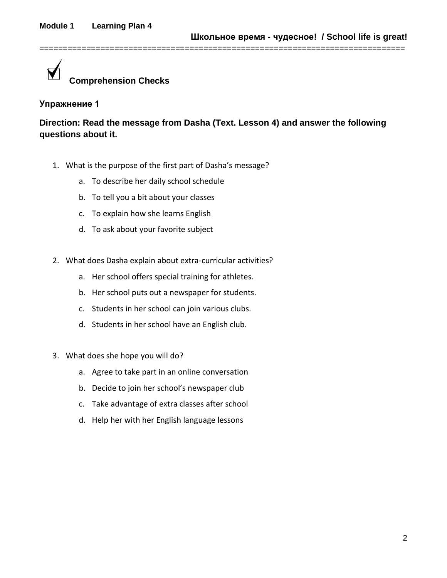

**Direction: Read the message from Dasha (Text. Lesson 4) and answer the following questions about it.**

==============================================================================

- 1. What is the purpose of the first part of Dasha's message?
	- a. To describe her daily school schedule
	- b. To tell you a bit about your classes
	- c. To explain how she learns English
	- d. To ask about your favorite subject
- 2. What does Dasha explain about extra-curricular activities?
	- a. Her school offers special training for athletes.
	- b. Her school puts out a newspaper for students.
	- c. Students in her school can join various clubs.
	- d. Students in her school have an English club.
- 3. What does she hope you will do?
	- a. Agree to take part in an online conversation
	- b. Decide to join her school's newspaper club
	- c. Take advantage of extra classes after school
	- d. Help her with her English language lessons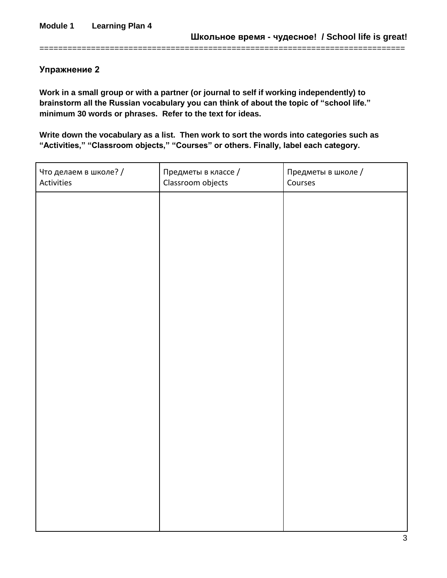**Work in a small group or with a partner (or journal to self if working independently) to brainstorm all the Russian vocabulary you can think of about the topic of "school life." minimum 30 words or phrases. Refer to the text for ideas.**

==============================================================================

**Write down the vocabulary as a list. Then work to sort the words into categories such as "Activities," "Classroom objects," "Courses" or others. Finally, label each category.**

| Что делаем в школе? /<br>Activities | Предметы в классе /<br>Classroom objects | Предметы в школе /<br>Courses |
|-------------------------------------|------------------------------------------|-------------------------------|
|                                     |                                          |                               |
|                                     |                                          |                               |
|                                     |                                          |                               |
|                                     |                                          |                               |
|                                     |                                          |                               |
|                                     |                                          |                               |
|                                     |                                          |                               |
|                                     |                                          |                               |
|                                     |                                          |                               |
|                                     |                                          |                               |
|                                     |                                          |                               |
|                                     |                                          |                               |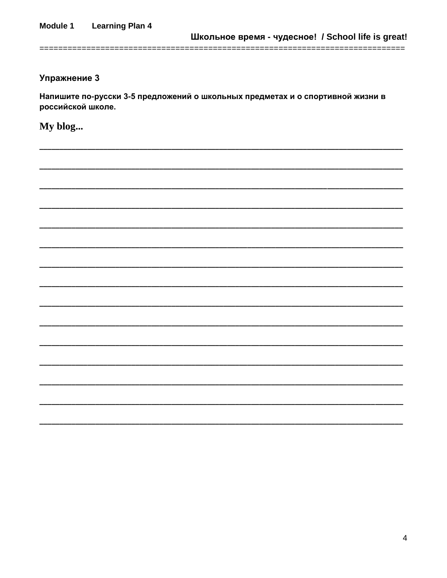Напишите по-русски 3-5 предложений о школьных предметах и о спортивной жизни в российской школе.

My blog...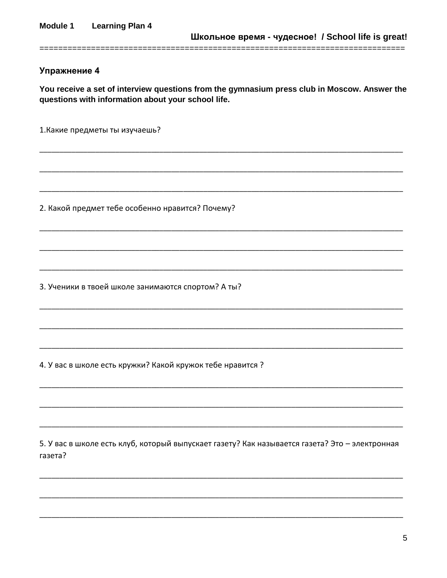You receive a set of interview questions from the gymnasium press club in Moscow. Answer the questions with information about your school life.

1. Какие предметы ты изучаешь?

2. Какой предмет тебе особенно нравится? Почему?

3. Ученики в твоей школе занимаются спортом? А ты?

4. У вас в школе есть кружки? Какой кружок тебе нравится?

5. У вас в школе есть клуб, который выпускает газету? Как называется газета? Это - электронная газета?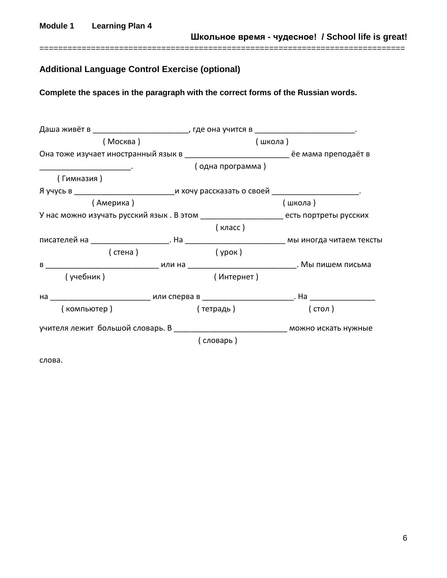**Module 1 Learning Plan 4**

**Школьное время - чудесное! / School life is great!**

# **Additional Language Control Exercise (optional)**

**Complete the spaces in the paragraph with the correct forms of the Russian words.**

==============================================================================

| Даша живёт в ________________________________, где она учится в _________________________________. |                  |                                                                                           |
|----------------------------------------------------------------------------------------------------|------------------|-------------------------------------------------------------------------------------------|
| (Москва)                                                                                           | (школа)          |                                                                                           |
|                                                                                                    |                  | Она тоже изучает иностранный язык в ___________________________ ёе мама преподаёт в       |
|                                                                                                    | (одна программа) |                                                                                           |
| (Гимназия)                                                                                         |                  |                                                                                           |
|                                                                                                    |                  |                                                                                           |
| (Америка)                                                                                          |                  | (школа)                                                                                   |
|                                                                                                    |                  | У нас можно изучать русский язык . В этом _____________________ есть портреты русских     |
|                                                                                                    | (класс)          |                                                                                           |
|                                                                                                    |                  |                                                                                           |
| (стена)                                                                                            | (урок)           |                                                                                           |
|                                                                                                    |                  | в _______________________________ или на _______________________________. Мы пишем письма |
| (учебник)                                                                                          | (Интернет)       |                                                                                           |
|                                                                                                    |                  |                                                                                           |
| (компьютер)                                                                                        | ( тетрадь )      | (стол)                                                                                    |
|                                                                                                    |                  |                                                                                           |
|                                                                                                    | (словарь)        |                                                                                           |
| слова.                                                                                             |                  |                                                                                           |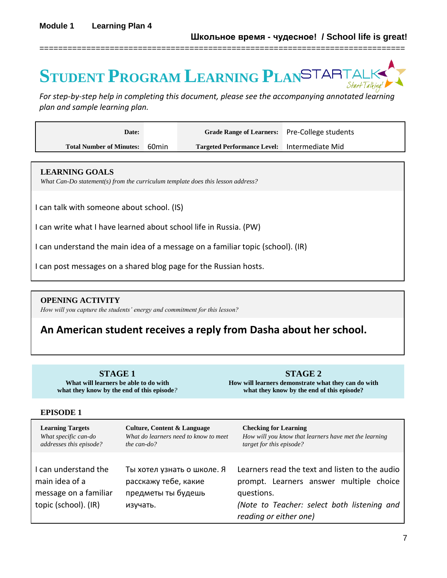# **STUDENT PROGRAM LEARNING PLAN**

*For step-by-step help in completing this document, please see the accompanying annotated learning plan and sample learning plan.*

==============================================================================

| Date:                           |       | Grade Range of Learners: Pre-College students |  |
|---------------------------------|-------|-----------------------------------------------|--|
| <b>Total Number of Minutes:</b> | 60min | Targeted Performance Level: Intermediate Mid  |  |

#### **LEARNING GOALS**

*What Can-Do statement(s) from the curriculum template does this lesson address?*

I can talk with someone about school. (IS)

I can write what I have learned about school life in Russia. (PW)

I can understand the main idea of a message on a familiar topic (school). (IR)

I can post messages on a shared blog page for the Russian hosts.

#### **OPENING ACTIVITY**

*How will you capture the students' energy and commitment for this lesson?*

# **An American student receives a reply from Dasha about her school.**

**STAGE 1 What will learners be able to do with what they know by the end of this episode***?*

**STAGE 2 How will learners demonstrate what they can do with what they know by the end of this episode?**

#### **EPISODE 1**

| <b>Learning Targets</b>                                                                 | <b>Culture, Content &amp; Language</b>                                               | <b>Checking for Learning</b>                                                                                                                                                        |
|-----------------------------------------------------------------------------------------|--------------------------------------------------------------------------------------|-------------------------------------------------------------------------------------------------------------------------------------------------------------------------------------|
| What specific can-do                                                                    | What do learners need to know to meet                                                | How will you know that learners have met the learning                                                                                                                               |
| addresses this episode?                                                                 | the can-do?                                                                          | target for this episode?                                                                                                                                                            |
| I can understand the<br>main idea of a<br>message on a familiar<br>topic (school). (IR) | Ты хотел узнать о школе. Я<br>расскажу тебе, какие<br>предметы ты будешь<br>изучать. | Learners read the text and listen to the audio<br>prompt. Learners answer<br>multiple choice<br>questions.<br>(Note to Teacher: select both listening and<br>reading or either one) |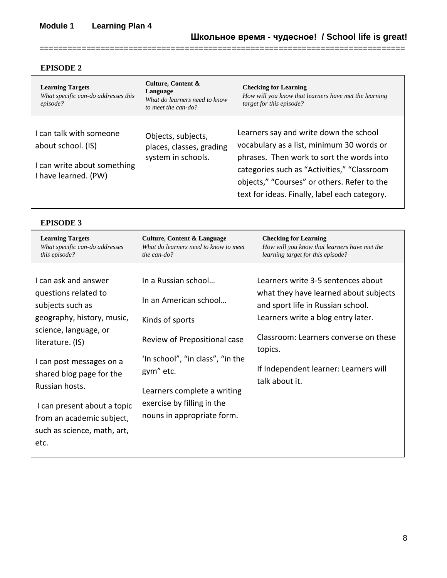### **EPISODE 2**

| <b>Learning Targets</b><br>What specific can-do addresses this<br>episode?                           | Culture, Content &<br>Language<br>What do learners need to know<br>to meet the can-do? | <b>Checking for Learning</b><br>How will you know that learners have met the learning<br>target for this episode?                                                                                                                                                               |
|------------------------------------------------------------------------------------------------------|----------------------------------------------------------------------------------------|---------------------------------------------------------------------------------------------------------------------------------------------------------------------------------------------------------------------------------------------------------------------------------|
| I can talk with someone<br>about school. (IS)<br>I can write about something<br>I have learned. (PW) | Objects, subjects,<br>places, classes, grading<br>system in schools.                   | Learners say and write down the school<br>vocabulary as a list, minimum 30 words or<br>phrases. Then work to sort the words into<br>categories such as "Activities," "Classroom<br>objects," "Courses" or others. Refer to the<br>text for ideas. Finally, label each category. |

==============================================================================

# **EPISODE 3**

| <b>Learning Targets</b><br>What specific can-do addresses<br>this episode?                                                                                                | <b>Culture, Content &amp; Language</b><br>What do learners need to know to meet<br>the can-do?                                           | <b>Checking for Learning</b><br>How will you know that learners have met the<br>learning target for this episode?                                                                                          |
|---------------------------------------------------------------------------------------------------------------------------------------------------------------------------|------------------------------------------------------------------------------------------------------------------------------------------|------------------------------------------------------------------------------------------------------------------------------------------------------------------------------------------------------------|
| I can ask and answer<br>questions related to<br>subjects such as<br>geography, history, music,<br>science, language, or<br>literature. (IS)                               | In a Russian school<br>In an American school<br>Kinds of sports<br>Review of Prepositional case                                          | Learners write 3-5 sentences about<br>what they have learned about subjects<br>and sport life in Russian school.<br>Learners write a blog entry later.<br>Classroom: Learners converse on these<br>topics. |
| I can post messages on a<br>shared blog page for the<br>Russian hosts.<br>I can present about a topic<br>from an academic subject,<br>such as science, math, art,<br>etc. | 'In school", "in class", "in the<br>gym" etc.<br>Learners complete a writing<br>exercise by filling in the<br>nouns in appropriate form. | If Independent learner: Learners will<br>talk about it.                                                                                                                                                    |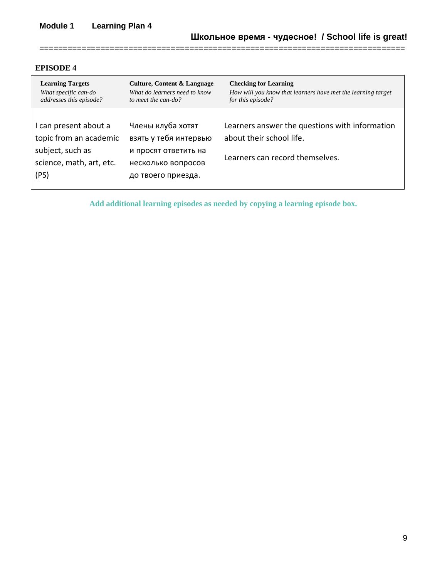# **Module 1 Learning Plan 4**

#### **EPISODE 4**

| <b>Learning Targets</b>                                                                                 | <b>Culture, Content &amp; Language</b>                                                                         | <b>Checking for Learning</b>                                                                                  |
|---------------------------------------------------------------------------------------------------------|----------------------------------------------------------------------------------------------------------------|---------------------------------------------------------------------------------------------------------------|
| What specific can-do                                                                                    | What do learners need to know                                                                                  | How will you know that learners have met the learning target                                                  |
| addresses this episode?                                                                                 | to meet the can-do?                                                                                            | for this episode?                                                                                             |
| I can present about a<br>topic from an academic<br>subject, such as<br>science, math, art, etc.<br>(PS) | Члены клуба хотят<br>взять у тебя интервью<br>и просят ответить на<br>несколько вопросов<br>до твоего приезда. | Learners answer the questions with information<br>about their school life.<br>Learners can record themselves. |

==============================================================================

**Add additional learning episodes as needed by copying a learning episode box.**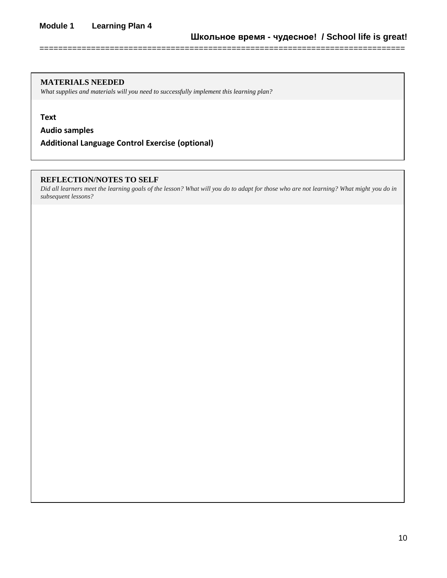#### **MATERIALS NEEDED**

*What supplies and materials will you need to successfully implement this learning plan?*

**Text**

**Audio samples**

**Additional Language Control Exercise (optional)**

#### **REFLECTION/NOTES TO SELF**

*Did all learners meet the learning goals of the lesson? What will you do to adapt for those who are not learning? What might you do in subsequent lessons?*

==============================================================================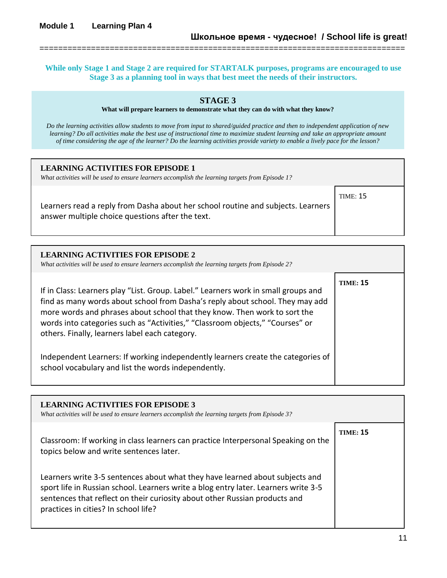**While only Stage 1 and Stage 2 are required for STARTALK purposes, programs are encouraged to use Stage 3 as a planning tool in ways that best meet the needs of their instructors.**

==============================================================================

#### **STAGE 3**

**What will prepare learners to demonstrate what they can do with what they know?** 

*Do the learning activities allow students to move from input to shared/guided practice and then to independent application of new learning? Do all activities make the best use of instructional time to maximize student learning and take an appropriate amount of time considering the age of the learner? Do the learning activities provide variety to enable a lively pace for the lesson?*

| <b>LEARNING ACTIVITIES FOR EPISODE 1</b><br>What activities will be used to ensure learners accomplish the learning targets from Episode 1? |          |
|---------------------------------------------------------------------------------------------------------------------------------------------|----------|
| Learners read a reply from Dasha about her school routine and subjects. Learners<br>answer multiple choice questions after the text.        | TIME: 15 |

| <b>LEARNING ACTIVITIES FOR EPISODE 2</b><br>What activities will be used to ensure learners accomplish the learning targets from Episode 2?                                                                                                                                                                                                                                         |                 |
|-------------------------------------------------------------------------------------------------------------------------------------------------------------------------------------------------------------------------------------------------------------------------------------------------------------------------------------------------------------------------------------|-----------------|
| If in Class: Learners play "List. Group. Label." Learners work in small groups and<br>find as many words about school from Dasha's reply about school. They may add<br>more words and phrases about school that they know. Then work to sort the<br>words into categories such as "Activities," "Classroom objects," "Courses" or<br>others. Finally, learners label each category. | <b>TIME: 15</b> |
| Independent Learners: If working independently learners create the categories of<br>school vocabulary and list the words independently.                                                                                                                                                                                                                                             |                 |

| <b>LEARNING ACTIVITIES FOR EPISODE 3</b><br>What activities will be used to ensure learners accomplish the learning targets from Episode 3?                                                                                                                                               |                 |
|-------------------------------------------------------------------------------------------------------------------------------------------------------------------------------------------------------------------------------------------------------------------------------------------|-----------------|
| Classroom: If working in class learners can practice Interpersonal Speaking on the<br>topics below and write sentences later.                                                                                                                                                             | <b>TIME: 15</b> |
| Learners write 3-5 sentences about what they have learned about subjects and<br>sport life in Russian school. Learners write a blog entry later. Learners write 3-5<br>sentences that reflect on their curiosity about other Russian products and<br>practices in cities? In school life? |                 |